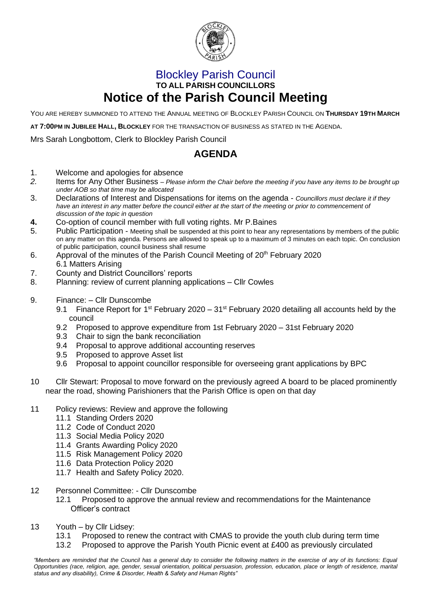

## Blockley Parish Council **TO ALL PARISH COUNCILLORS Notice of the Parish Council Meeting**

YOU ARE HEREBY SUMMONED TO ATTEND THE ANNUAL MEETING OF BLOCKLEY PARISH COUNCIL ON **THURSDAY 19TH MARCH**

**AT 7:00PM IN JUBILEE HALL, BLOCKLEY** FOR THE TRANSACTION OF BUSINESS AS STATED IN THE AGENDA.

Mrs Sarah Longbottom, Clerk to Blockley Parish Council

## **AGENDA**

- 1. Welcome and apologies for absence
- *2.* Items for Any Other Business *– Please inform the Chair before the meeting if you have any items to be brought up under AOB so that time may be allocated*
- 3. Declarations of Interest and Dispensations for items on the agenda *Councillors must declare it if they*  have an interest in any matter before the council either at the start of the meeting or prior to commencement of *discussion of the topic in question*
- **4.** Co-option of council member with full voting rights. Mr P.Baines
- 5. Public Participation Meeting shall be suspended at this point to hear any representations by members of the public on any matter on this agenda. Persons are allowed to speak up to a maximum of 3 minutes on each topic. On conclusion of public participation, council business shall resume
- 6. Approval of the minutes of the Parish Council Meeting of  $20<sup>th</sup>$  February 2020 6.1 Matters Arising
- 7. County and District Councillors' reports
- 8. Planning: review of current planning applications Cllr Cowles
- 9. Finance: Cllr Dunscombe
	- 9.1 Finance Report for  $1<sup>st</sup>$  February 2020 31 $<sup>st</sup>$  February 2020 detailing all accounts held by the</sup> council
	- 9.2 Proposed to approve expenditure from 1st February 2020 31st February 2020
	- 9.3 Chair to sign the bank reconciliation
	- 9.4 Proposal to approve additional accounting reserves
	- 9.5 Proposed to approve Asset list
	- 9.6 Proposal to appoint councillor responsible for overseeing grant applications by BPC
- 10 Cllr Stewart: Proposal to move forward on the previously agreed A board to be placed prominently near the road, showing Parishioners that the Parish Office is open on that day
- 11 Policy reviews: Review and approve the following
	- 11.1 Standing Orders 2020
	- 11.2 Code of Conduct 2020
	- 11.3 Social Media Policy 2020
	- 11.4 Grants Awarding Policy 2020
	- 11.5 Risk Management Policy 2020
	- 11.6 Data Protection Policy 2020
	- 11.7 Health and Safety Policy 2020.
- 12 Personnel Committee: Cllr Dunscombe
	- 12.1 Proposed to approve the annual review and recommendations for the Maintenance Officer's contract
- 13 Youth by Cllr Lidsey:
	- 13.1 Proposed to renew the contract with CMAS to provide the youth club during term time
	- 13.2 Proposed to approve the Parish Youth Picnic event at £400 as previously circulated